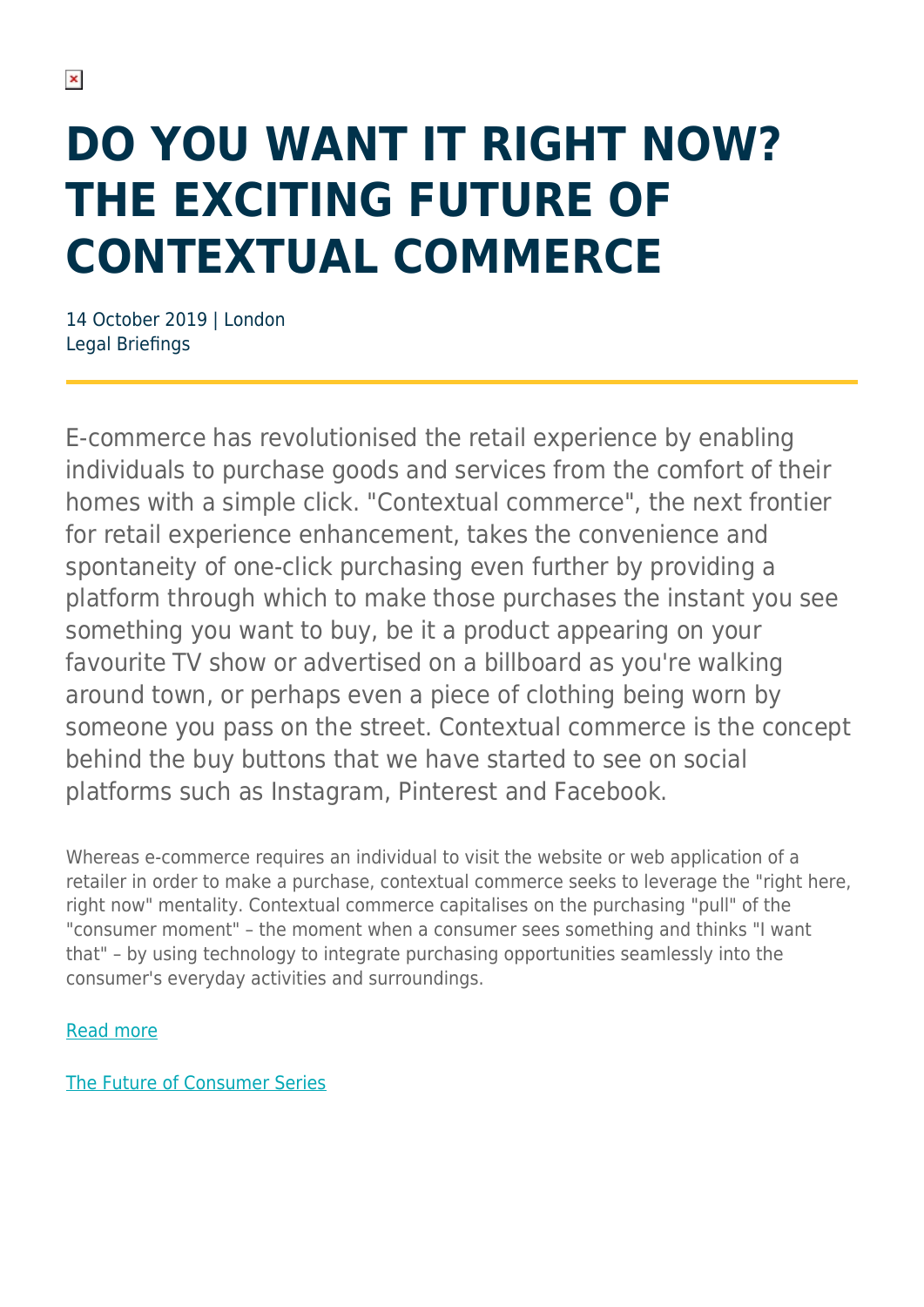## **DO YOU WANT IT RIGHT NOW? THE EXCITING FUTURE OF CONTEXTUAL COMMERCE**

14 October 2019 | London Legal Briefings

E-commerce has revolutionised the retail experience by enabling individuals to purchase goods and services from the comfort of their homes with a simple click. "Contextual commerce", the next frontier for retail experience enhancement, takes the convenience and spontaneity of one-click purchasing even further by providing a platform through which to make those purchases the instant you see something you want to buy, be it a product appearing on your favourite TV show or advertised on a billboard as you're walking around town, or perhaps even a piece of clothing being worn by someone you pass on the street. Contextual commerce is the concept behind the buy buttons that we have started to see on social platforms such as Instagram, Pinterest and Facebook.

Whereas e-commerce requires an individual to visit the website or web application of a retailer in order to make a purchase, contextual commerce seeks to leverage the "right here, right now" mentality. Contextual commerce capitalises on the purchasing "pull" of the "consumer moment" – the moment when a consumer sees something and thinks "I want that" – by using technology to integrate purchasing opportunities seamlessly into the consumer's everyday activities and surroundings.

## [Read more](https://www.herbertsmithfreehills.com/file/38961/download?token=xdWoQOj1)

[The Future of Consumer Series](https://www.herbertsmithfreehills.com/latest-thinking/the-future-of-consumer-series)